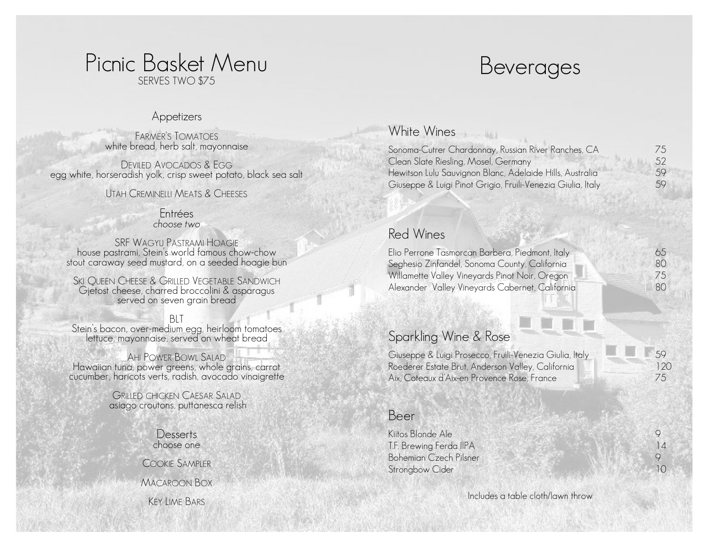# Picnic Basket Menu Beverages SERVES TWO \$75

#### Appetizers

FARMER'S TOMATOES white bread, herb salt, mayonnaise

DEVILED AVOCADOS & EGG egg white, horseradish yolk, crisp sweet potato, black sea salt

#### UTAH CREMINELLI MEATS & CHEESES

#### Entrées *choose two*

SRF WAGYU PASTRAMI HOAGIE house pastrami, Stein's world famous chow -chow stout caraway seed mustard, on a seeded hoagie bun

SKI OUEEN CHEESE & GRILLED VEGETABLE SANDWICH Gjetost cheese, charred broccolini & asparagus served on seven grain bread

BLT Stein's bacon, over -medium egg, heirloom tomatoes lettuce, mayonnaise, served on wheat bread

AHI POWER BOWL SALAD Hawaiian tuna, power greens, whole grains, carrot cucumber, haricots verts, radish, avocado vinaigrette GRILLED CHICKEN <sup>C</sup>AESAR <sup>S</sup>ALAD

asiago croutons, puttanesca relish

**Desserts** choose one

COOKIE SAMPLER

MACAROON BOX

KEY LIME BARS

# White Wines

Sonoma -Cutrer Chardonnay, Russian River Ranches, CA Clean Slate Riesling, Mosel, Germany Hewitson Lulu Sauvignon Blanc, Adelaide Hills, Australia Giuseppe & Luigi Pinot Grigio, Fruili -Venezia Giulia, Italy

 $-461$ 

## Red Wines

Elio Perrone Tasmorcan Barbera, Piedmont, Italy Seghesio Zinfandel, Sonoma County, California Willamette Valley Vineyards Pinot Noir, Oregon Alexander Valley Vineyards Cabernet, California

| Sparkling Wine & Rose |  |
|-----------------------|--|
|                       |  |

Giuseppe & Luigi Prosecco, Fruili -Venezia Giulia, Italy Roederer Estate Brut, Anderson Valley, California Aix, Coteaux d'Aix -en Provence Rose, France

|  | 59  |
|--|-----|
|  | 120 |
|  |     |
|  | 75  |

### Beer

| $\vert \, \vert$ |
|------------------|
|                  |
| IО               |
|                  |

Includes a table cloth/lawn throw